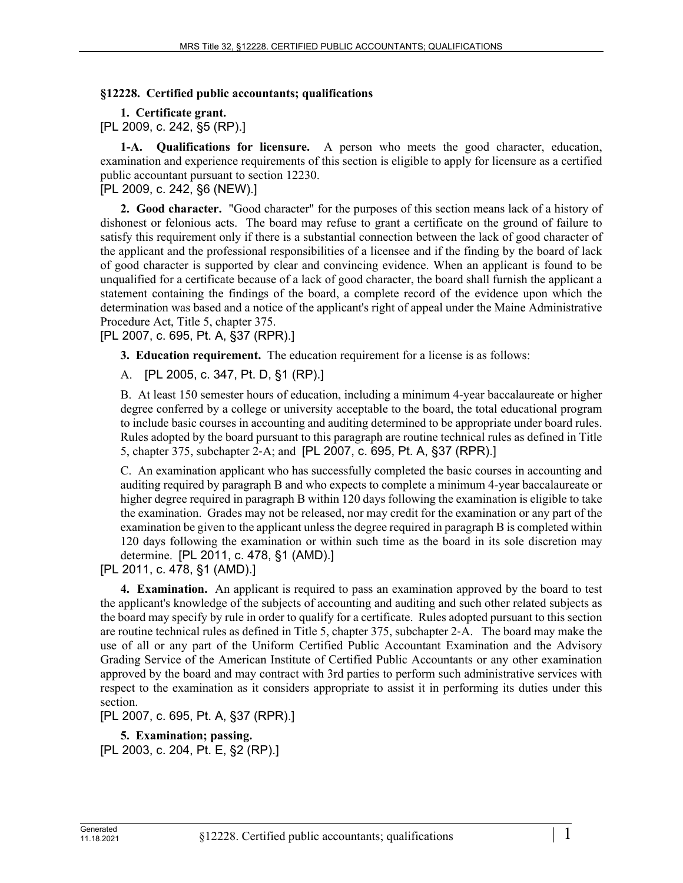## **§12228. Certified public accountants; qualifications**

**1. Certificate grant.**  [PL 2009, c. 242, §5 (RP).]

**1-A. Qualifications for licensure.** A person who meets the good character, education, examination and experience requirements of this section is eligible to apply for licensure as a certified public accountant pursuant to section 12230.

[PL 2009, c. 242, §6 (NEW).]

**2. Good character.** "Good character" for the purposes of this section means lack of a history of dishonest or felonious acts. The board may refuse to grant a certificate on the ground of failure to satisfy this requirement only if there is a substantial connection between the lack of good character of the applicant and the professional responsibilities of a licensee and if the finding by the board of lack of good character is supported by clear and convincing evidence. When an applicant is found to be unqualified for a certificate because of a lack of good character, the board shall furnish the applicant a statement containing the findings of the board, a complete record of the evidence upon which the determination was based and a notice of the applicant's right of appeal under the Maine Administrative Procedure Act, Title 5, chapter 375.

[PL 2007, c. 695, Pt. A, §37 (RPR).]

**3. Education requirement.** The education requirement for a license is as follows:

A. [PL 2005, c. 347, Pt. D, §1 (RP).]

B. At least 150 semester hours of education, including a minimum 4-year baccalaureate or higher degree conferred by a college or university acceptable to the board, the total educational program to include basic courses in accounting and auditing determined to be appropriate under board rules. Rules adopted by the board pursuant to this paragraph are routine technical rules as defined in Title 5, chapter 375, subchapter 2‑A; and [PL 2007, c. 695, Pt. A, §37 (RPR).]

C. An examination applicant who has successfully completed the basic courses in accounting and auditing required by paragraph B and who expects to complete a minimum 4-year baccalaureate or higher degree required in paragraph B within 120 days following the examination is eligible to take the examination. Grades may not be released, nor may credit for the examination or any part of the examination be given to the applicant unless the degree required in paragraph B is completed within 120 days following the examination or within such time as the board in its sole discretion may determine. [PL 2011, c. 478, §1 (AMD).]

[PL 2011, c. 478, §1 (AMD).]

**4. Examination.** An applicant is required to pass an examination approved by the board to test the applicant's knowledge of the subjects of accounting and auditing and such other related subjects as the board may specify by rule in order to qualify for a certificate. Rules adopted pursuant to this section are routine technical rules as defined in Title 5, chapter 375, subchapter 2‑A. The board may make the use of all or any part of the Uniform Certified Public Accountant Examination and the Advisory Grading Service of the American Institute of Certified Public Accountants or any other examination approved by the board and may contract with 3rd parties to perform such administrative services with respect to the examination as it considers appropriate to assist it in performing its duties under this section.

[PL 2007, c. 695, Pt. A, §37 (RPR).]

**5. Examination; passing.**  [PL 2003, c. 204, Pt. E, §2 (RP).]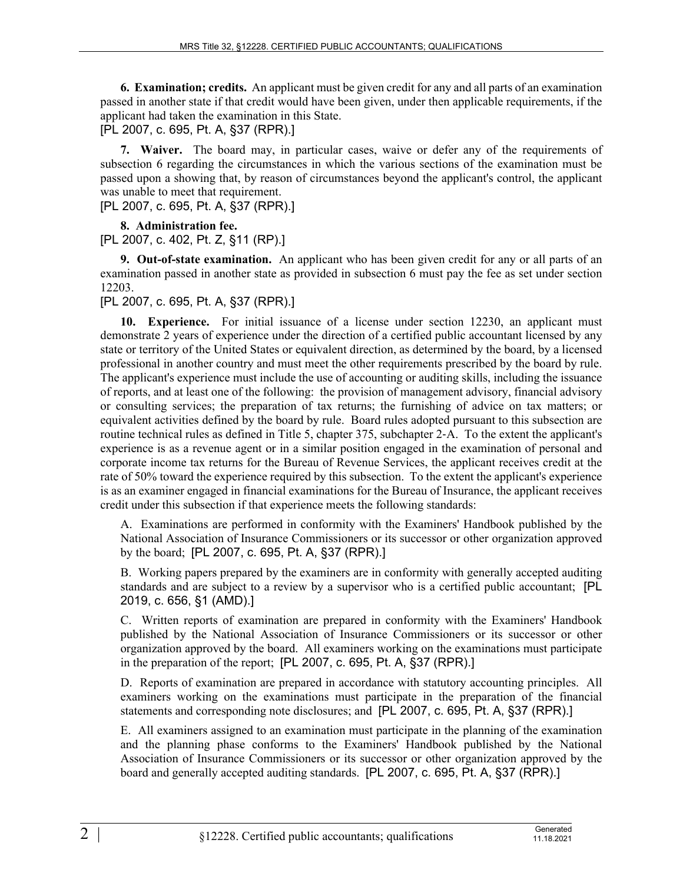**6. Examination; credits.** An applicant must be given credit for any and all parts of an examination passed in another state if that credit would have been given, under then applicable requirements, if the applicant had taken the examination in this State.

[PL 2007, c. 695, Pt. A, §37 (RPR).]

**7. Waiver.** The board may, in particular cases, waive or defer any of the requirements of subsection 6 regarding the circumstances in which the various sections of the examination must be passed upon a showing that, by reason of circumstances beyond the applicant's control, the applicant was unable to meet that requirement.

[PL 2007, c. 695, Pt. A, §37 (RPR).]

**8. Administration fee.** 

[PL 2007, c. 402, Pt. Z, §11 (RP).]

**9. Out-of-state examination.** An applicant who has been given credit for any or all parts of an examination passed in another state as provided in subsection 6 must pay the fee as set under section 12203.

[PL 2007, c. 695, Pt. A, §37 (RPR).]

**10. Experience.** For initial issuance of a license under section 12230, an applicant must demonstrate 2 years of experience under the direction of a certified public accountant licensed by any state or territory of the United States or equivalent direction, as determined by the board, by a licensed professional in another country and must meet the other requirements prescribed by the board by rule. The applicant's experience must include the use of accounting or auditing skills, including the issuance of reports, and at least one of the following: the provision of management advisory, financial advisory or consulting services; the preparation of tax returns; the furnishing of advice on tax matters; or equivalent activities defined by the board by rule. Board rules adopted pursuant to this subsection are routine technical rules as defined in Title 5, chapter 375, subchapter 2‑A. To the extent the applicant's experience is as a revenue agent or in a similar position engaged in the examination of personal and corporate income tax returns for the Bureau of Revenue Services, the applicant receives credit at the rate of 50% toward the experience required by this subsection. To the extent the applicant's experience is as an examiner engaged in financial examinations for the Bureau of Insurance, the applicant receives credit under this subsection if that experience meets the following standards:

A. Examinations are performed in conformity with the Examiners' Handbook published by the National Association of Insurance Commissioners or its successor or other organization approved by the board; [PL 2007, c. 695, Pt. A, §37 (RPR).]

B. Working papers prepared by the examiners are in conformity with generally accepted auditing standards and are subject to a review by a supervisor who is a certified public accountant; [PL 2019, c. 656, §1 (AMD).]

C. Written reports of examination are prepared in conformity with the Examiners' Handbook published by the National Association of Insurance Commissioners or its successor or other organization approved by the board. All examiners working on the examinations must participate in the preparation of the report; [PL 2007, c. 695, Pt. A, §37 (RPR).]

D. Reports of examination are prepared in accordance with statutory accounting principles. All examiners working on the examinations must participate in the preparation of the financial statements and corresponding note disclosures; and [PL 2007, c. 695, Pt. A, §37 (RPR).]

E. All examiners assigned to an examination must participate in the planning of the examination and the planning phase conforms to the Examiners' Handbook published by the National Association of Insurance Commissioners or its successor or other organization approved by the board and generally accepted auditing standards. [PL 2007, c. 695, Pt. A, §37 (RPR).]